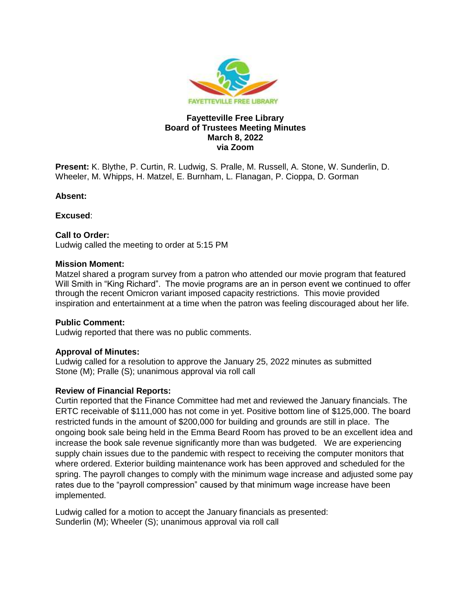

## **Fayetteville Free Library Board of Trustees Meeting Minutes March 8, 2022 via Zoom**

**Present:** K. Blythe, P. Curtin, R. Ludwig, S. Pralle, M. Russell, A. Stone, W. Sunderlin, D. Wheeler, M. Whipps, H. Matzel, E. Burnham, L. Flanagan, P. Cioppa, D. Gorman

#### **Absent:**

**Excused**:

## **Call to Order:**

Ludwig called the meeting to order at 5:15 PM

## **Mission Moment:**

Matzel shared a program survey from a patron who attended our movie program that featured Will Smith in "King Richard". The movie programs are an in person event we continued to offer through the recent Omicron variant imposed capacity restrictions. This movie provided inspiration and entertainment at a time when the patron was feeling discouraged about her life.

# **Public Comment:**

Ludwig reported that there was no public comments.

# **Approval of Minutes:**

Ludwig called for a resolution to approve the January 25, 2022 minutes as submitted Stone (M); Pralle (S); unanimous approval via roll call

# **Review of Financial Reports:**

Curtin reported that the Finance Committee had met and reviewed the January financials. The ERTC receivable of \$111,000 has not come in yet. Positive bottom line of \$125,000. The board restricted funds in the amount of \$200,000 for building and grounds are still in place. The ongoing book sale being held in the Emma Beard Room has proved to be an excellent idea and increase the book sale revenue significantly more than was budgeted. We are experiencing supply chain issues due to the pandemic with respect to receiving the computer monitors that where ordered. Exterior building maintenance work has been approved and scheduled for the spring. The payroll changes to comply with the minimum wage increase and adjusted some pay rates due to the "payroll compression" caused by that minimum wage increase have been implemented.

Ludwig called for a motion to accept the January financials as presented: Sunderlin (M); Wheeler (S); unanimous approval via roll call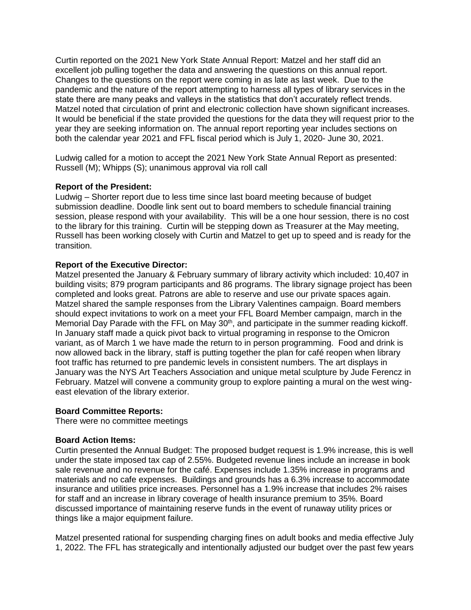Curtin reported on the 2021 New York State Annual Report: Matzel and her staff did an excellent job pulling together the data and answering the questions on this annual report. Changes to the questions on the report were coming in as late as last week. Due to the pandemic and the nature of the report attempting to harness all types of library services in the state there are many peaks and valleys in the statistics that don't accurately reflect trends. Matzel noted that circulation of print and electronic collection have shown significant increases. It would be beneficial if the state provided the questions for the data they will request prior to the year they are seeking information on. The annual report reporting year includes sections on both the calendar year 2021 and FFL fiscal period which is July 1, 2020- June 30, 2021.

Ludwig called for a motion to accept the 2021 New York State Annual Report as presented: Russell (M); Whipps (S); unanimous approval via roll call

## **Report of the President:**

Ludwig – Shorter report due to less time since last board meeting because of budget submission deadline. Doodle link sent out to board members to schedule financial training session, please respond with your availability. This will be a one hour session, there is no cost to the library for this training. Curtin will be stepping down as Treasurer at the May meeting, Russell has been working closely with Curtin and Matzel to get up to speed and is ready for the transition.

## **Report of the Executive Director:**

Matzel presented the January & February summary of library activity which included: 10,407 in building visits; 879 program participants and 86 programs. The library signage project has been completed and looks great. Patrons are able to reserve and use our private spaces again. Matzel shared the sample responses from the Library Valentines campaign. Board members should expect invitations to work on a meet your FFL Board Member campaign, march in the Memorial Day Parade with the FFL on May  $30<sup>th</sup>$ , and participate in the summer reading kickoff. In January staff made a quick pivot back to virtual programing in response to the Omicron variant, as of March 1 we have made the return to in person programming. Food and drink is now allowed back in the library, staff is putting together the plan for café reopen when library foot traffic has returned to pre pandemic levels in consistent numbers. The art displays in January was the NYS Art Teachers Association and unique metal sculpture by Jude Ferencz in February. Matzel will convene a community group to explore painting a mural on the west wingeast elevation of the library exterior.

#### **Board Committee Reports:**

There were no committee meetings

#### **Board Action Items:**

Curtin presented the Annual Budget: The proposed budget request is 1.9% increase, this is well under the state imposed tax cap of 2.55%. Budgeted revenue lines include an increase in book sale revenue and no revenue for the café. Expenses include 1.35% increase in programs and materials and no cafe expenses. Buildings and grounds has a 6.3% increase to accommodate insurance and utilities price increases. Personnel has a 1.9% increase that includes 2% raises for staff and an increase in library coverage of health insurance premium to 35%. Board discussed importance of maintaining reserve funds in the event of runaway utility prices or things like a major equipment failure.

Matzel presented rational for suspending charging fines on adult books and media effective July 1, 2022. The FFL has strategically and intentionally adjusted our budget over the past few years